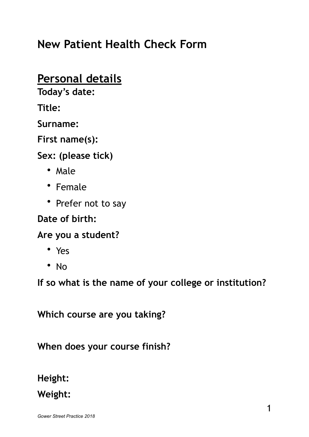# **New Patient Health Check Form**

## **Personal details**

**Today's date:** 

**Title:** 

**Surname:** 

**First name(s):** 

**Sex: (please tick)** 

- Male
- Female
- Prefer not to say

**Date of birth:** 

**Are you a student?** 

- Yes
- No

**If so what is the name of your college or institution?** 

**Which course are you taking?** 

**When does your course finish?** 

**Height:** 

**Weight:**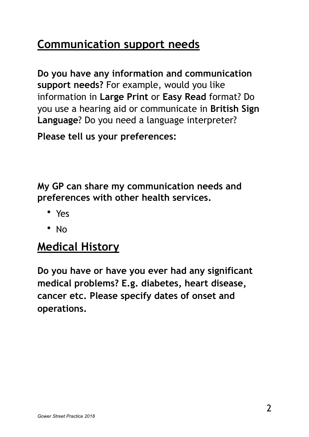# **Communication support needs**

**Do you have any information and communication support needs?** For example, would you like information in **Large Print** or **Easy Read** format? Do you use a hearing aid or communicate in **British Sign Language**? Do you need a language interpreter?

**Please tell us your preferences:** 

**My GP can share my communication needs and preferences with other health services.** 

- Yes
- No

## **Medical History**

**Do you have or have you ever had any significant medical problems? E.g. diabetes, heart disease, cancer etc. Please specify dates of onset and operations.**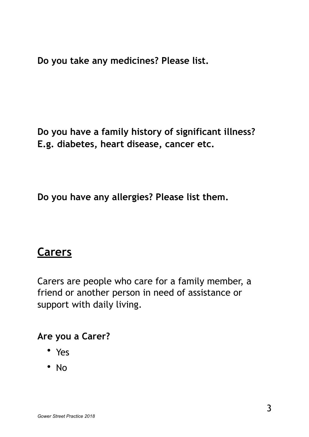**Do you take any medicines? Please list.** 

**Do you have a family history of significant illness? E.g. diabetes, heart disease, cancer etc.** 

**Do you have any allergies? Please list them.** 

### **Carers**

Carers are people who care for a family member, a friend or another person in need of assistance or support with daily living.

#### **Are you a Carer?**

- Yes
- No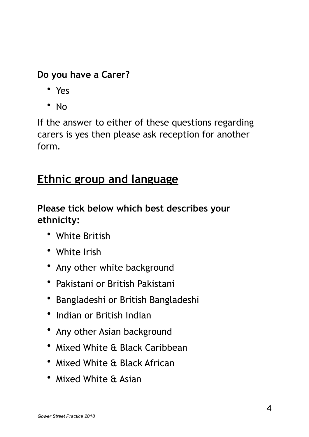#### **Do you have a Carer?**

- Yes
- No

If the answer to either of these questions regarding carers is yes then please ask reception for another form.

# **Ethnic group and language**

### **Please tick below which best describes your ethnicity:**

- White British
- White Irish
- Any other white background
- Pakistani or British Pakistani
- Bangladeshi or British Bangladeshi
- Indian or British Indian
- Any other Asian background
- Mixed White & Black Caribbean
- Mixed White & Black African
- Mixed White & Asian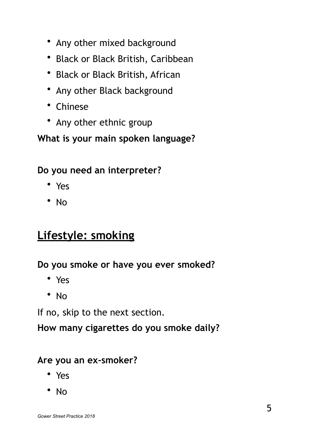- Any other mixed background
- Black or Black British, Caribbean
- Black or Black British, African
- Any other Black background
- Chinese
- Any other ethnic group

#### **What is your main spoken language?**

#### **Do you need an interpreter?**

- Yes
- No

# **Lifestyle: smoking**

#### **Do you smoke or have you ever smoked?**

- Yes
- No

If no, skip to the next section.

**How many cigarettes do you smoke daily?** 

#### **Are you an ex-smoker?**

- Yes
- No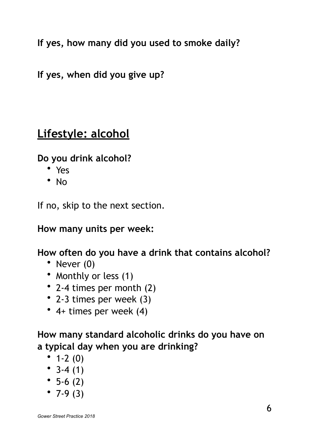**If yes, how many did you used to smoke daily?** 

**If yes, when did you give up?** 

## **Lifestyle: alcohol**

**Do you drink alcohol?** 

- Yes
- No

If no, skip to the next section.

**How many units per week:** 

**How often do you have a drink that contains alcohol?** 

- Never (0)
- Monthly or less (1)
- 2-4 times per month (2)
- 2-3 times per week (3)
- 4+ times per week (4)

**How many standard alcoholic drinks do you have on a typical day when you are drinking?** 

- $1-2(0)$
- $3-4(1)$
- $5-6(2)$
- $7-9(3)$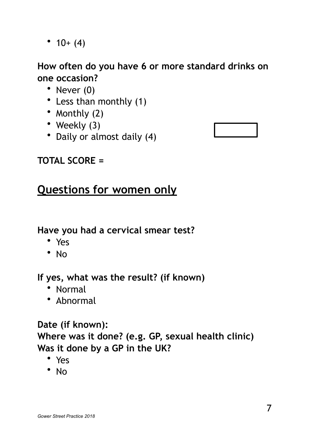•  $10+(4)$ 

#### **How often do you have 6 or more standard drinks on one occasion?**

- Never (0)
- Less than monthly (1)
- Monthly (2)
- Weekly (3)
- Daily or almost daily (4)



### **TOTAL SCORE =**

# **Questions for women only**

#### **Have you had a cervical smear test?**

- Yes
- No

#### **If yes, what was the result? (if known)**

- Normal
- Abnormal

### **Date (if known): Where was it done? (e.g. GP, sexual health clinic) Was it done by a GP in the UK?**

- Yes
- No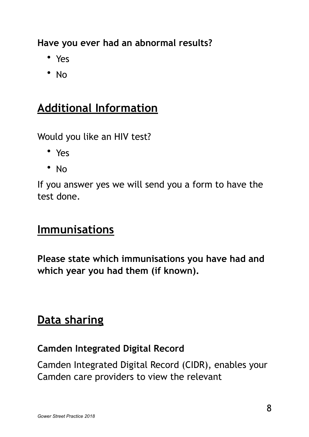**Have you ever had an abnormal results?** 

- Yes
- No

# **Additional Information**

Would you like an HIV test?

- Yes
- No

If you answer yes we will send you a form to have the test done.

### **Immunisations**

**Please state which immunisations you have had and which year you had them (if known).** 

## **Data sharing**

#### **Camden Integrated Digital Record**

Camden Integrated Digital Record (CIDR), enables your Camden care providers to view the relevant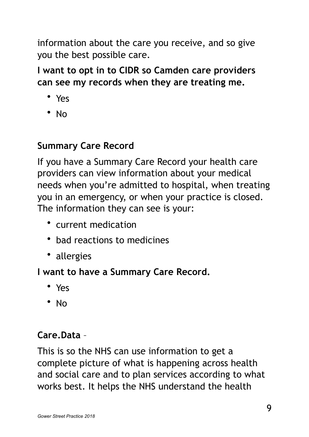information about the care you receive, and so give you the best possible care.

**I want to opt in to CIDR so Camden care providers can see my records when they are treating me.** 

- Yes
- No

#### **Summary Care Record**

If you have a Summary Care Record your health care providers can view information about your medical needs when you're admitted to hospital, when treating you in an emergency, or when your practice is closed. The information they can see is your:

- current medication
- bad reactions to medicines
- allergies

### **I want to have a Summary Care Record.**

- Yes
- No

### **Care.Data** –

This is so the NHS can use information to get a complete picture of what is happening across health and social care and to plan services according to what works best. It helps the NHS understand the health